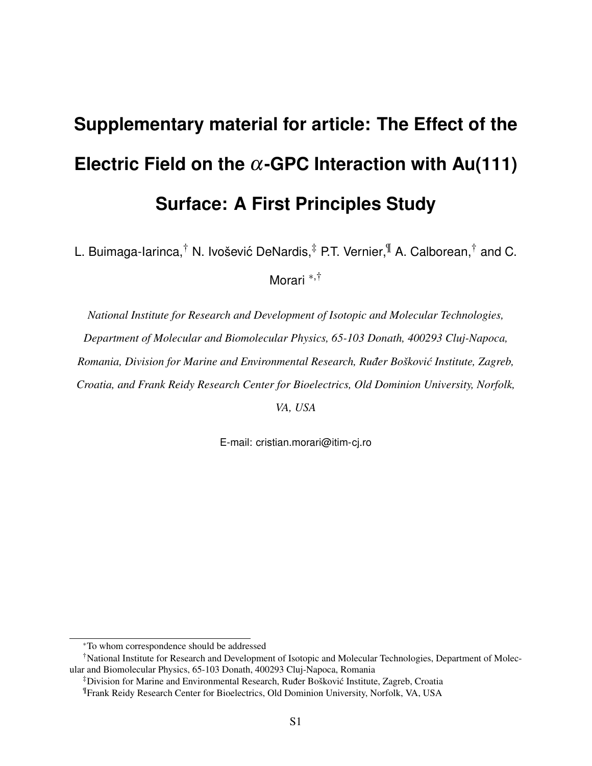## **Supplementary material for article: The Effect of the Electric Field on the** α**-GPC Interaction with Au(111) Surface: A First Principles Study**

L. Buimaga-Iarinca,<sup>†</sup> N. Ivošević DeNardis,<sup>‡</sup> P.T. Vernier,<sup>¶</sup> A. Calborean,<sup>†</sup> and C.

Morari <sup>∗</sup>,†

*National Institute for Research and Development of Isotopic and Molecular Technologies, Department of Molecular and Biomolecular Physics, 65-103 Donath, 400293 Cluj-Napoca, Romania, Division for Marine and Environmental Research, Ruđer Bošković Institute, Zagreb, Croatia, and Frank Reidy Research Center for Bioelectrics, Old Dominion University, Norfolk,*

*VA, USA*

E-mail: cristian.morari@itim-cj.ro

<sup>∗</sup>To whom correspondence should be addressed

<sup>†</sup>National Institute for Research and Development of Isotopic and Molecular Technologies, Department of Molecular and Biomolecular Physics, 65-103 Donath, 400293 Cluj-Napoca, Romania

<sup>&</sup>lt;sup>‡</sup>Division for Marine and Environmental Research, Ruđer Bošković Institute, Zagreb, Croatia

<sup>¶</sup>Frank Reidy Research Center for Bioelectrics, Old Dominion University, Norfolk, VA, USA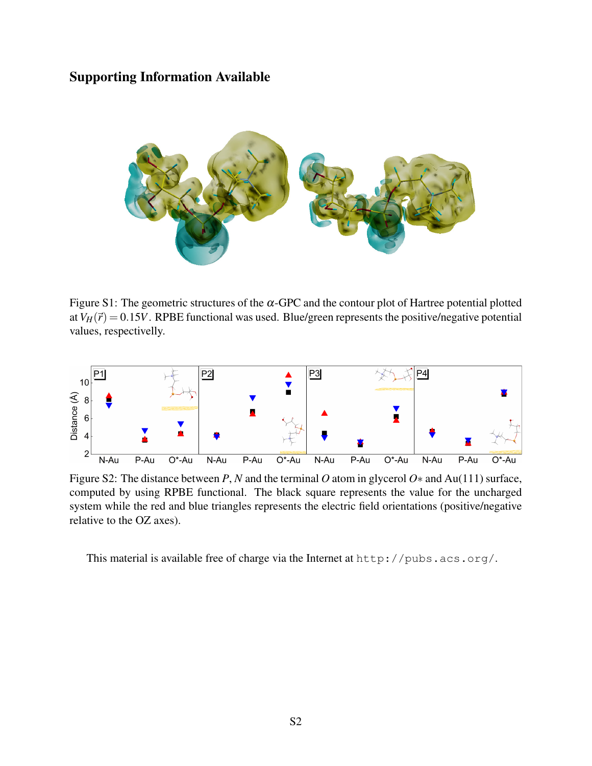## Supporting Information Available



Figure S1: The geometric structures of the  $\alpha$ -GPC and the contour plot of Hartree potential plotted at  $V_H(\vec{r}) = 0.15V$ . RPBE functional was used. Blue/green represents the positive/negative potential values, respectivelly.



Figure S2: The distance between *P*, *N* and the terminal *O* atom in glycerol *O*∗ and Au(111) surface, computed by using RPBE functional. The black square represents the value for the uncharged system while the red and blue triangles represents the electric field orientations (positive/negative relative to the OZ axes).

This material is available free of charge via the Internet at http://pubs.acs.org/.